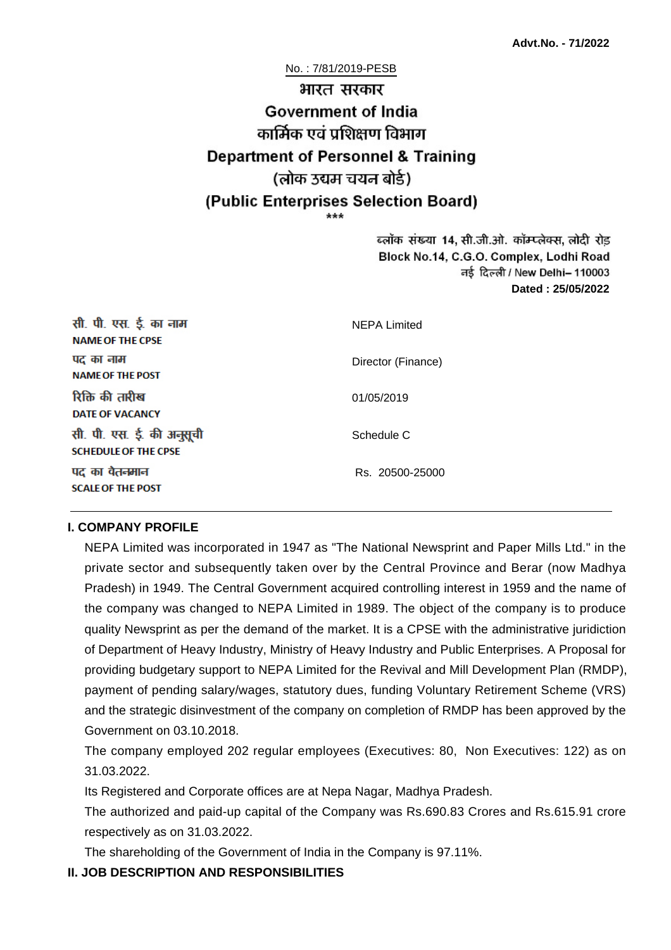No. : 7/81/2019-PESB

# भारत सरकार **Government of India** कार्मिक एवं पशिक्षण विभाग **Department of Personnel & Training** (लोक उद्यम चयन बोर्ड) (Public Enterprises Selection Board)

ब्लॉक संख्या 14, सी.जी.ओ. कॉम्प्लेक्स, लोदी रोड Block No.14, C.G.O. Complex, Lodhi Road ਰई दिल्ली / New Delhi– 110003 **Dated : 25/05/2022**

| सी. पी. एस. ई. का नाम<br><b>NAME OF THE CPSE</b>         | <b>NEPA Limited</b> |
|----------------------------------------------------------|---------------------|
| पद का नाम<br><b>NAME OF THE POST</b>                     | Director (Finance)  |
| रिक्ति की तारीख<br><b>DATE OF VACANCY</b>                | 01/05/2019          |
| सी. पी. एस. ई. की अनुसूची<br><b>SCHEDULE OF THE CPSE</b> | Schedule C          |
| पद का वेतनमान<br><b>SCALE OF THE POST</b>                | Rs. 20500-25000     |

#### **I. COMPANY PROFILE**

NEPA Limited was incorporated in 1947 as "The National Newsprint and Paper Mills Ltd." in the private sector and subsequently taken over by the Central Province and Berar (now Madhya Pradesh) in 1949. The Central Government acquired controlling interest in 1959 and the name of the company was changed to NEPA Limited in 1989. The object of the company is to produce quality Newsprint as per the demand of the market. It is a CPSE with the administrative juridiction of Department of Heavy Industry, Ministry of Heavy Industry and Public Enterprises. A Proposal for providing budgetary support to NEPA Limited for the Revival and Mill Development Plan (RMDP), payment of pending salary/wages, statutory dues, funding Voluntary Retirement Scheme (VRS) and the strategic disinvestment of the company on completion of RMDP has been approved by the Government on 03.10.2018.

The company employed 202 regular employees (Executives: 80, Non Executives: 122) as on 31.03.2022.

Its Registered and Corporate offices are at Nepa Nagar, Madhya Pradesh.

The authorized and paid-up capital of the Company was Rs.690.83 Crores and Rs.615.91 crore respectively as on 31.03.2022.

The shareholding of the Government of India in the Company is 97.11%.

### **II. JOB DESCRIPTION AND RESPONSIBILITIES**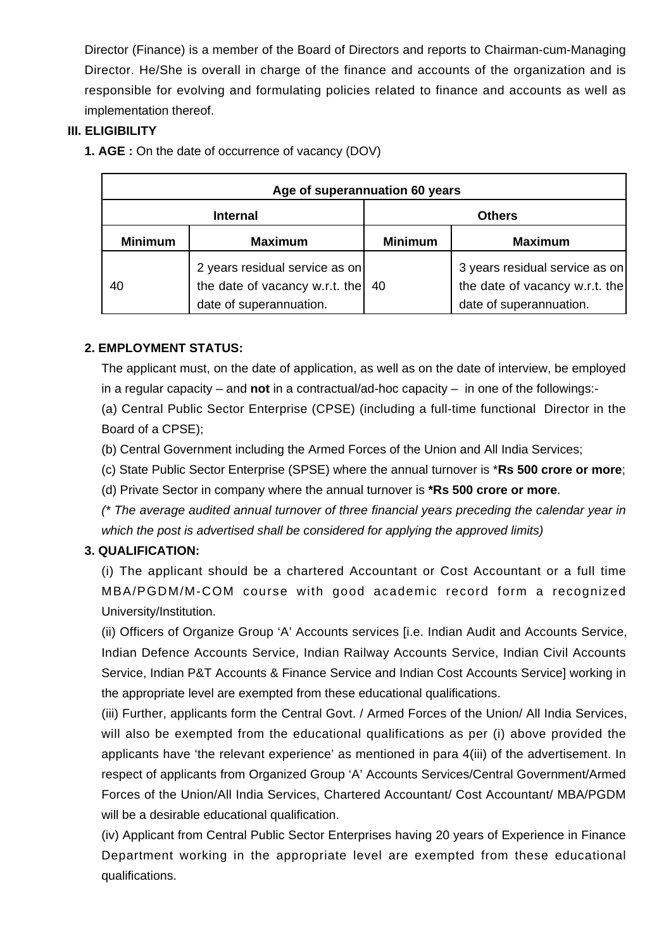Director (Finance) is a member of the Board of Directors and reports to Chairman-cum-Managing Director. He/She is overall in charge of the finance and accounts of the organization and is responsible for evolving and formulating policies related to finance and accounts as well as implementation thereof.

### **III. ELIGIBILITY**

**1. AGE :** On the date of occurrence of vacancy (DOV)

| Age of superannuation 60 years |                                                                                             |                |                                                                                             |
|--------------------------------|---------------------------------------------------------------------------------------------|----------------|---------------------------------------------------------------------------------------------|
| <b>Internal</b>                |                                                                                             | <b>Others</b>  |                                                                                             |
| <b>Minimum</b>                 | <b>Maximum</b>                                                                              | <b>Minimum</b> | <b>Maximum</b>                                                                              |
| 40                             | 2 years residual service as on<br>the date of vacancy w.r.t. the<br>date of superannuation. | 40             | 3 years residual service as on<br>the date of vacancy w.r.t. the<br>date of superannuation. |

# **2. EMPLOYMENT STATUS:**

The applicant must, on the date of application, as well as on the date of interview, be employed in a regular capacity – and **not** in a contractual/ad-hoc capacity – in one of the followings:-

(a) Central Public Sector Enterprise (CPSE) (including a full-time functional Director in the Board of a CPSE);

(b) Central Government including the Armed Forces of the Union and All India Services;

(c) State Public Sector Enterprise (SPSE) where the annual turnover is \***Rs 500 crore or more**;

(d) Private Sector in company where the annual turnover is **\*Rs 500 crore or more**.

(\* The average audited annual turnover of three financial years preceding the calendar year in which the post is advertised shall be considered for applying the approved limits)

# **3. QUALIFICATION:**

(i) The applicant should be a chartered Accountant or Cost Accountant or a full time MBA/PGDM/M-COM course with good academic record form a recognized University/Institution.

(ii) Officers of Organize Group 'A' Accounts services [i.e. Indian Audit and Accounts Service, Indian Defence Accounts Service, Indian Railway Accounts Service, Indian Civil Accounts Service, Indian P&T Accounts & Finance Service and Indian Cost Accounts Service] working in the appropriate level are exempted from these educational qualifications.

(iii) Further, applicants form the Central Govt. / Armed Forces of the Union/ All India Services, will also be exempted from the educational qualifications as per (i) above provided the applicants have 'the relevant experience' as mentioned in para 4(iii) of the advertisement. In respect of applicants from Organized Group 'A' Accounts Services/Central Government/Armed Forces of the Union/All India Services, Chartered Accountant/ Cost Accountant/ MBA/PGDM will be a desirable educational qualification.

(iv) Applicant from Central Public Sector Enterprises having 20 years of Experience in Finance Department working in the appropriate level are exempted from these educational qualifications.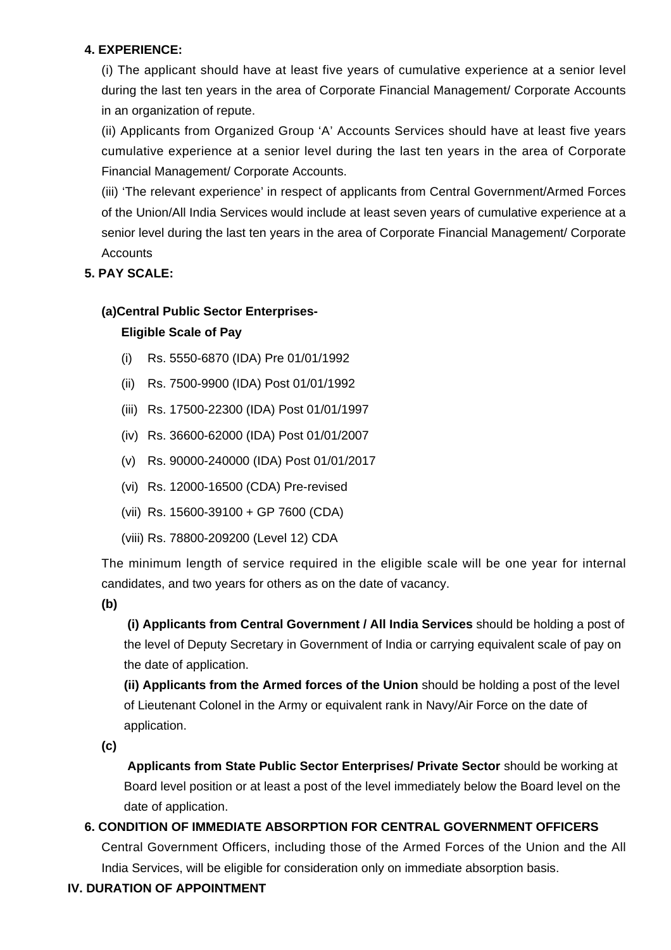### **4. EXPERIENCE:**

(i) The applicant should have at least five years of cumulative experience at a senior level during the last ten years in the area of Corporate Financial Management/ Corporate Accounts in an organization of repute.

(ii) Applicants from Organized Group 'A' Accounts Services should have at least five years cumulative experience at a senior level during the last ten years in the area of Corporate Financial Management/ Corporate Accounts.

(iii) 'The relevant experience' in respect of applicants from Central Government/Armed Forces of the Union/All India Services would include at least seven years of cumulative experience at a senior level during the last ten years in the area of Corporate Financial Management/ Corporate **Accounts** 

# **5. PAY SCALE:**

# **(a)Central Public Sector Enterprises-**

# **Eligible Scale of Pay**

- (i) Rs. 5550-6870 (IDA) Pre 01/01/1992
- (ii) Rs. 7500-9900 (IDA) Post 01/01/1992
- (iii) Rs. 17500-22300 (IDA) Post 01/01/1997
- (iv) Rs. 36600-62000 (IDA) Post 01/01/2007
- (v) Rs. 90000-240000 (IDA) Post 01/01/2017
- (vi) Rs. 12000-16500 (CDA) Pre-revised
- (vii) Rs. 15600-39100 + GP 7600 (CDA)
- (viii) Rs. 78800-209200 (Level 12) CDA

The minimum length of service required in the eligible scale will be one year for internal candidates, and two years for others as on the date of vacancy.

**(b)**

**(i) Applicants from Central Government / All India Services** should be holding a post of the level of Deputy Secretary in Government of India or carrying equivalent scale of pay on the date of application.

**(ii) Applicants from the Armed forces of the Union** should be holding a post of the level of Lieutenant Colonel in the Army or equivalent rank in Navy/Air Force on the date of application.

**(c)**

 **Applicants from State Public Sector Enterprises/ Private Sector** should be working at Board level position or at least a post of the level immediately below the Board level on the date of application.

# **6. CONDITION OF IMMEDIATE ABSORPTION FOR CENTRAL GOVERNMENT OFFICERS**

Central Government Officers, including those of the Armed Forces of the Union and the All India Services, will be eligible for consideration only on immediate absorption basis.

# **IV. DURATION OF APPOINTMENT**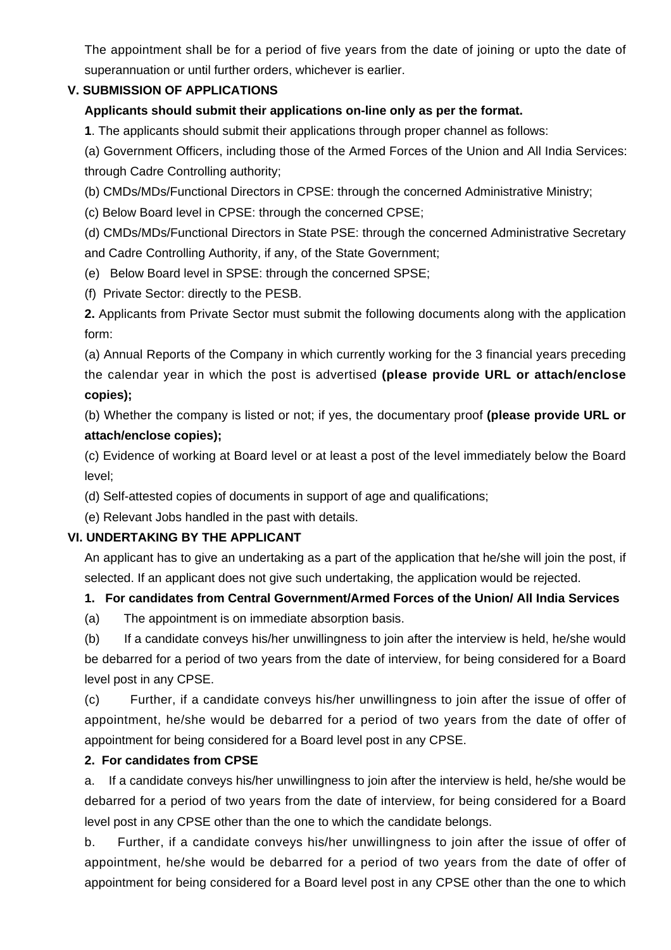The appointment shall be for a period of five years from the date of joining or upto the date of superannuation or until further orders, whichever is earlier.

### **V. SUBMISSION OF APPLICATIONS**

### **Applicants should submit their applications on-line only as per the format.**

**1**. The applicants should submit their applications through proper channel as follows:

(a) Government Officers, including those of the Armed Forces of the Union and All India Services: through Cadre Controlling authority;

(b) CMDs/MDs/Functional Directors in CPSE: through the concerned Administrative Ministry;

(c) Below Board level in CPSE: through the concerned CPSE;

(d) CMDs/MDs/Functional Directors in State PSE: through the concerned Administrative Secretary and Cadre Controlling Authority, if any, of the State Government;

- (e) Below Board level in SPSE: through the concerned SPSE;
- (f) Private Sector: directly to the PESB.

**2.** Applicants from Private Sector must submit the following documents along with the application form:

(a) Annual Reports of the Company in which currently working for the 3 financial years preceding the calendar year in which the post is advertised **(please provide URL or attach/enclose copies);**

(b) Whether the company is listed or not; if yes, the documentary proof **(please provide URL or attach/enclose copies);**

(c) Evidence of working at Board level or at least a post of the level immediately below the Board level;

- (d) Self-attested copies of documents in support of age and qualifications;
- (e) Relevant Jobs handled in the past with details.

### **VI. UNDERTAKING BY THE APPLICANT**

An applicant has to give an undertaking as a part of the application that he/she will join the post, if selected. If an applicant does not give such undertaking, the application would be rejected.

### **1. For candidates from Central Government/Armed Forces of the Union/ All India Services**

(a) The appointment is on immediate absorption basis.

(b) If a candidate conveys his/her unwillingness to join after the interview is held, he/she would be debarred for a period of two years from the date of interview, for being considered for a Board level post in any CPSE.

(c) Further, if a candidate conveys his/her unwillingness to join after the issue of offer of appointment, he/she would be debarred for a period of two years from the date of offer of appointment for being considered for a Board level post in any CPSE.

### **2. For candidates from CPSE**

a. If a candidate conveys his/her unwillingness to join after the interview is held, he/she would be debarred for a period of two years from the date of interview, for being considered for a Board level post in any CPSE other than the one to which the candidate belongs.

b. Further, if a candidate conveys his/her unwillingness to join after the issue of offer of appointment, he/she would be debarred for a period of two years from the date of offer of appointment for being considered for a Board level post in any CPSE other than the one to which